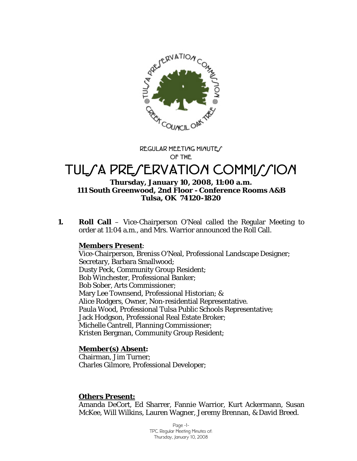

**REGULAR MEETING MINUTE/ OF THE** 

# TULSA PRESERVATION COMMISSION

#### **Thursday, January 10, 2008, 11:00 a.m. 111 South Greenwood, 2nd Floor - Conference Rooms A&B Tulsa, OK 74120-1820**

**1. Roll Call** – Vice-Chairperson O'Neal called the Regular Meeting to order at 11:04 a.m., and Mrs. Warrior announced the Roll Call.

#### **Members Present**:

Vice-Chairperson, Breniss O'Neal, Professional Landscape Designer; Secretary, Barbara Smallwood; Dusty Peck, Community Group Resident; Bob Winchester, Professional Banker; Bob Sober, Arts Commissioner; Mary Lee Townsend, Professional Historian; & Alice Rodgers, Owner, Non-residential Representative. Paula Wood, Professional Tulsa Public Schools Representative; Jack Hodgson, Professional Real Estate Broker; Michelle Cantrell, Planning Commissioner; Kristen Bergman, Community Group Resident;

#### **Member(s) Absent:**

Chairman, Jim Turner; Charles Gilmore, Professional Developer;

#### **Others Present:**

Amanda DeCort, Ed Sharrer, Fannie Warrior, Kurt Ackermann, Susan McKee, Will Wilkins, Lauren Wagner, Jeremy Brennan, & David Breed.

> Page -1- TPC Regular Meeting Minutes of: Thursday, January 10, 2008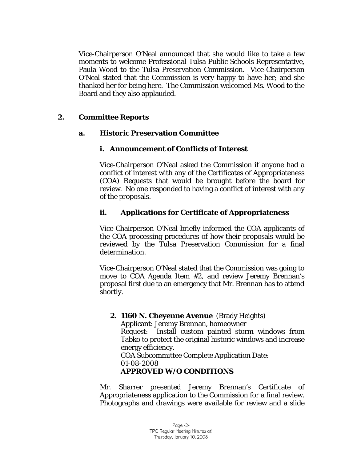Vice-Chairperson O'Neal announced that she would like to take a few moments to welcome Professional Tulsa Public Schools Representative, Paula Wood to the Tulsa Preservation Commission. Vice-Chairperson O'Neal stated that the Commission is very happy to have her; and she thanked her for being here. The Commission welcomed Ms. Wood to the Board and they also applauded.

## **2. Committee Reports**

## **a. Historic Preservation Committee**

## **i. Announcement of Conflicts of Interest**

Vice-Chairperson O'Neal asked the Commission if anyone had a conflict of interest with any of the Certificates of Appropriateness (COA) Requests that would be brought before the board for review. No one responded to having a conflict of interest with any of the proposals.

# **ii. Applications for Certificate of Appropriateness**

Vice-Chairperson O'Neal briefly informed the COA applicants of the COA processing procedures of how their proposals would be reviewed by the Tulsa Preservation Commission for a final determination.

Vice-Chairperson O'Neal stated that the Commission was going to move to COA Agenda Item #2, and review Jeremy Brennan's proposal first due to an emergency that Mr. Brennan has to attend shortly.

#### **2. 1160 N. Cheyenne Avenue** (Brady Heights)

Applicant: Jeremy Brennan, homeowner Request: Install custom painted storm windows from Tabko to protect the original historic windows and increase energy efficiency. COA Subcommittee Complete Application Date:

01-08-2008

# **APPROVED W/O CONDITIONS**

Mr. Sharrer presented Jeremy Brennan's Certificate of Appropriateness application to the Commission for a final review. Photographs and drawings were available for review and a slide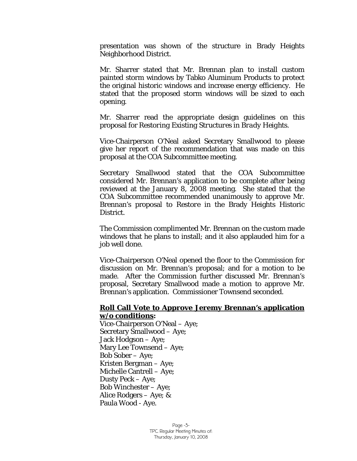presentation was shown of the structure in Brady Heights Neighborhood District.

Mr. Sharrer stated that Mr. Brennan plan to install custom painted storm windows by Tabko Aluminum Products to protect the original historic windows and increase energy efficiency. He stated that the proposed storm windows will be sized to each opening.

Mr. Sharrer read the appropriate design guidelines on this proposal for *Restoring Existing Structures in Brady Heights.* 

Vice-Chairperson O'Neal asked Secretary Smallwood to please give her report of the recommendation that was made on this proposal at the COA Subcommittee meeting.

Secretary Smallwood stated that the COA Subcommittee considered Mr. Brennan's application to be complete after being reviewed at the January 8, 2008 meeting. She stated that the COA Subcommittee recommended unanimously to approve Mr. Brennan's proposal to *Restore* in the Brady Heights Historic District.

The Commission complimented Mr. Brennan on the custom made windows that he plans to install; and it also applauded him for a job well done.

Vice-Chairperson O'Neal opened the floor to the Commission for discussion on Mr. Brennan's proposal; and for a motion to be made. After the Commission further discussed Mr. Brennan's proposal, Secretary Smallwood made a motion to approve Mr. Brennan's application. Commissioner Townsend seconded.

#### **Roll Call Vote to Approve Jeremy Brennan's application w/o conditions:**

Vice-Chairperson O'Neal – Aye; Secretary Smallwood – Aye; Jack Hodgson – Aye; Mary Lee Townsend – Aye; Bob Sober – Aye; Kristen Bergman – Aye; Michelle Cantrell – Aye; Dusty Peck – Aye; Bob Winchester – Aye; Alice Rodgers – Aye; & Paula Wood - Aye.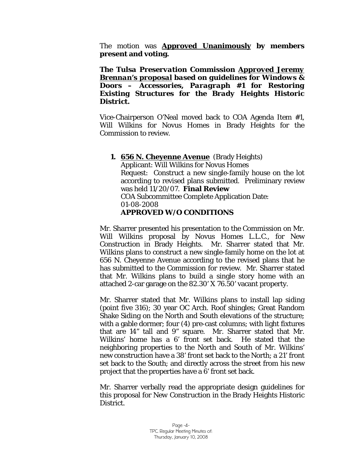The motion was **Approved Unanimously by members present and voting.** 

*The Tulsa Preservation Commission Approved Jeremy Brennan's proposal based on guidelines for Windows & Doors – Accessories, Paragraph #1 for Restoring Existing Structures for the Brady Heights Historic District.* 

Vice-Chairperson O'Neal moved back to COA Agenda Item #1, Will Wilkins for Novus Homes in Brady Heights for the Commission to review.

#### **1. 656 N. Cheyenne Avenue** (Brady Heights) Applicant: Will Wilkins for Novus Homes Request: Construct a new single-family house on the lot according to revised plans submitted. Preliminary review was held 11/20/07. **Final Review**  COA Subcommittee Complete Application Date: 01-08-2008 **APPROVED W/O CONDITIONS**

Mr. Sharrer presented his presentation to the Commission on Mr. Will Wilkins proposal by Novus Homes L.L.C., for New Construction in Brady Heights. Mr. Sharrer stated that Mr. Wilkins plans to construct a new single-family home on the lot at 656 N. Cheyenne Avenue according to the revised plans that he has submitted to the Commission for review. Mr. Sharrer stated that Mr. Wilkins plans to build a single story home with an attached 2-car garage on the 82.30' X 76.50' vacant property.

Mr. Sharrer stated that Mr. Wilkins plans to install lap siding (point five 316); 30 year OC Arch. Roof shingles; Great Random Shake Siding on the North and South elevations of the structure; with a gable dormer; four (4) pre-cast columns; with light fixtures that are 14" tall and 9" square. Mr. Sharrer stated that Mr. Wilkins' home has a 6' front set back. He stated that the neighboring properties to the North and South of Mr. Wilkins' new construction have a 38' front set back to the North; a 21' front set back to the South; and directly across the street from his new project that the properties have a 6' front set back.

Mr. Sharrer verbally read the appropriate design guidelines for this proposal for *New Construction* in the Brady Heights Historic District.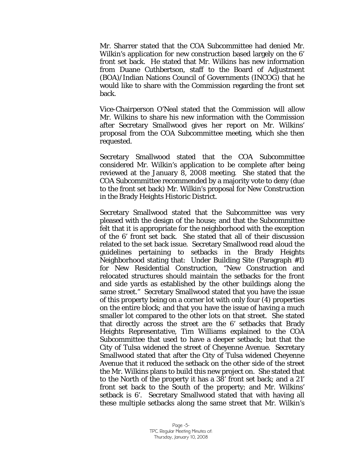Mr. Sharrer stated that the COA Subcommittee had denied Mr. Wilkin's application for new construction based largely on the 6' front set back. He stated that Mr. Wilkins has new information from Duane Cuthbertson, staff to the Board of Adjustment (BOA)/Indian Nations Council of Governments (INCOG) that he would like to share with the Commission regarding the front set back.

Vice-Chairperson O'Neal stated that the Commission will allow Mr. Wilkins to share his new information with the Commission after Secretary Smallwood gives her report on Mr. Wilkins' proposal from the COA Subcommittee meeting, which she then requested.

Secretary Smallwood stated that the COA Subcommittee considered Mr. Wilkin's application to be complete after being reviewed at the January 8, 2008 meeting. She stated that the COA Subcommittee recommended by a majority vote to deny (due to the front set back) Mr. Wilkin's proposal for *New Construction* in the Brady Heights Historic District.

Secretary Smallwood stated that the Subcommittee was very pleased with the design of the house; and that the Subcommittee felt that it is appropriate for the neighborhood with the exception of the 6' front set back. She stated that all of their discussion related to the set back issue. Secretary Smallwood read aloud the guidelines pertaining to setbacks in the Brady Heights Neighborhood stating that: Under Building Site (Paragraph #1) for New Residential Construction, "New Construction and relocated structures should maintain the setbacks for the front and side yards as established by the other buildings along the same street." Secretary Smallwood stated that you have the issue of this property being on a corner lot with only four (4) properties on the entire block; and that you have the issue of having a much smaller lot compared to the other lots on that street. She stated that directly across the street are the 6' setbacks that Brady Heights Representative, Tim Williams explained to the COA Subcommittee that used to have a deeper setback; but that the City of Tulsa widened the street of Cheyenne Avenue. Secretary Smallwood stated that after the City of Tulsa widened Cheyenne Avenue that it reduced the setback on the other side of the street the Mr. Wilkins plans to build this new project on. She stated that to the North of the property it has a 38' front set back; and a 21' front set back to the South of the property; and Mr. Wilkins' setback is 6'. Secretary Smallwood stated that with having all these multiple setbacks along the same street that Mr. Wilkin's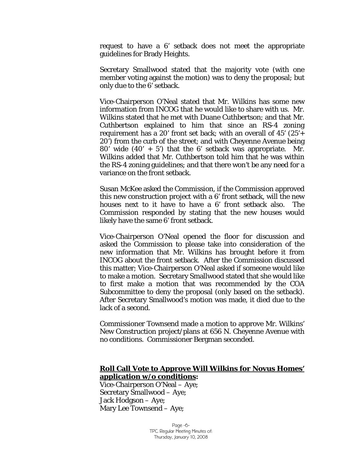request to have a 6' setback does not meet the appropriate guidelines for Brady Heights.

Secretary Smallwood stated that the majority vote (with one member voting against the motion) was to deny the proposal; but only due to the 6' setback.

Vice-Chairperson O'Neal stated that Mr. Wilkins has some new information from INCOG that he would like to share with us. Mr. Wilkins stated that he met with Duane Cuthbertson; and that Mr. Cuthbertson explained to him that since an RS-4 zoning requirement has a 20' front set back; with an overall of  $45'$  ( $25' +$ 20') from the curb of the street; and with Cheyenne Avenue being 80' wide  $(40' + 5')$  that the 6' setback was appropriate. Mr. Wilkins added that Mr. Cuthbertson told him that he was within the RS-4 zoning guidelines; and that there won't be any need for a variance on the front setback.

Susan McKee asked the Commission, if the Commission approved this new construction project with a 6' front setback, will the new houses next to it have to have a 6' front setback also. The Commission responded by stating that the new houses would likely have the same 6' front setback.

Vice-Chairperson O'Neal opened the floor for discussion and asked the Commission to please take into consideration of the new information that Mr. Wilkins has brought before it from INCOG about the front setback. After the Commission discussed this matter; Vice-Chairperson O'Neal asked if someone would like to make a motion. Secretary Smallwood stated that she would like to first make a motion that was recommended by the COA Subcommittee to deny the proposal (only based on the setback). After Secretary Smallwood's motion was made, it died due to the lack of a second.

Commissioner Townsend made a motion to approve Mr. Wilkins' New Construction project/plans at 656 N. Cheyenne Avenue with no conditions. Commissioner Bergman seconded.

#### **Roll Call Vote to Approve Will Wilkins for Novus Homes' application w/o conditions:**

Vice-Chairperson O'Neal – Aye; Secretary Smallwood – Aye; Jack Hodgson – Aye; Mary Lee Townsend – Aye;

> Page -6- TPC Regular Meeting Minutes of: Thursday, January 10, 2008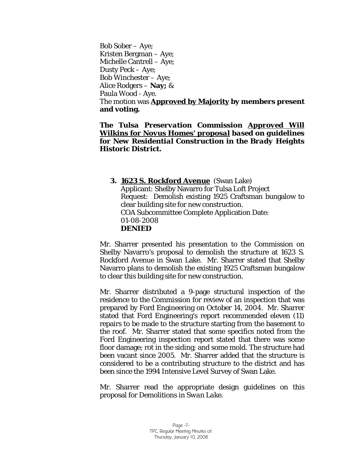Bob Sober – Aye; Kristen Bergman – Aye; Michelle Cantrell – Aye; Dusty Peck – Aye; Bob Winchester – Aye; Alice Rodgers – **Nay;** & Paula Wood - Aye. The motion was **Approved by Majority by members present and voting.** 

*The Tulsa Preservation Commission Approved Will Wilkins for Novus Homes' proposal based on guidelines for New Residential Construction in the Brady Heights Historic District.* 

#### **3. 1623 S. Rockford Avenue** (Swan Lake) Applicant: Shelby Navarro for Tulsa Loft Project Request: Demolish existing 1925 Craftsman bungalow to clear building site for new construction. COA Subcommittee Complete Application Date: 01-08-2008 **DENIED**

Mr. Sharrer presented his presentation to the Commission on Shelby Navarro's proposal to demolish the structure at 1623 S. Rockford Avenue in Swan Lake. Mr. Sharrer stated that Shelby Navarro plans to demolish the existing 1925 Craftsman bungalow to clear this building site for new construction.

Mr. Sharrer distributed a 9-page structural inspection of the residence to the Commission for review of an inspection that was prepared by Ford Engineering on October 14, 2004. Mr. Sharrer stated that Ford Engineering's report recommended eleven (11) repairs to be made to the structure starting from the basement to the roof. Mr. Sharrer stated that some specifics noted from the Ford Engineering inspection report stated that there was some floor damage; rot in the siding; and some mold. The structure had been vacant since 2005. Mr. Sharrer added that the structure is considered to be a contributing structure to the district and has been since the 1994 Intensive Level Survey of Swan Lake.

Mr. Sharrer read the appropriate design guidelines on this proposal for *Demolitions in Swan Lake.*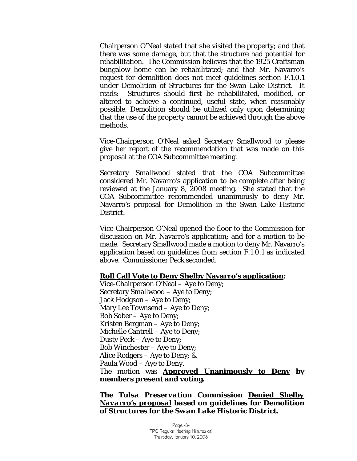Chairperson O'Neal stated that she visited the property; and that there was some damage, but that the structure had potential for rehabilitation. The Commission believes that the 1925 Craftsman bungalow home can be rehabilitated; and that Mr. Navarro's request for demolition does not meet guidelines section F.1.0.1 under Demolition of Structures for the Swan Lake District. It reads: Structures should first be rehabilitated, modified, or altered to achieve a continued, useful state, when reasonably possible. Demolition should be utilized only upon determining that the use of the property cannot be achieved through the above methods.

Vice-Chairperson O'Neal asked Secretary Smallwood to please give her report of the recommendation that was made on this proposal at the COA Subcommittee meeting.

Secretary Smallwood stated that the COA Subcommittee considered Mr. Navarro's application to be complete after being reviewed at the January 8, 2008 meeting. She stated that the COA Subcommittee recommended unanimously to deny Mr. Navarro's proposal for *Demolition* in the Swan Lake Historic District.

Vice-Chairperson O'Neal opened the floor to the Commission for discussion on Mr. Navarro's application; and for a motion to be made. Secretary Smallwood made a motion to deny Mr. Navarro's application based on guidelines from section F.1.0.1 as indicated above. Commissioner Peck seconded.

#### **Roll Call Vote to Deny Shelby Navarro's application:**

Vice-Chairperson O'Neal – Aye to Deny; Secretary Smallwood – Aye to Deny; Jack Hodgson – Aye to Deny; Mary Lee Townsend – Aye to Deny; Bob Sober – Aye to Deny; Kristen Bergman – Aye to Deny; Michelle Cantrell – Aye to Deny; Dusty Peck – Aye to Deny; Bob Winchester – Aye to Deny; Alice Rodgers – Aye to Deny; & Paula Wood – Aye to Deny. The motion was **Approved Unanimously to Deny by members present and voting.** 

*The Tulsa Preservation Commission Denied Shelby Navarro's proposal based on guidelines for Demolition of Structures for the Swan Lake Historic District.*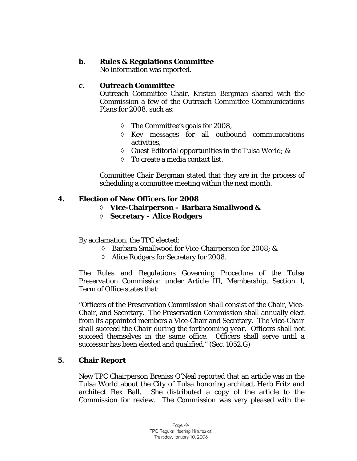## **b. Rules & Regulations Committee**

No information was reported.

## **c. Outreach Committee**

Outreach Committee Chair, Kristen Bergman shared with the Commission a few of the Outreach Committee Communications Plans for 2008, such as:

- ◊ The Committee's goals for 2008,
- ◊ Key messages for all outbound communications activities,
- ◊ Guest Editorial opportunities in the Tulsa World; &
- ◊ To create a media contact list.

Committee Chair Bergman stated that they are in the process of scheduling a committee meeting within the next month.

## **4. Election of New Officers for 2008**

- ◊ **Vice-Chairperson Barbara Smallwood &**
- ◊ **Secretary Alice Rodgers**

By acclamation, the TPC elected:

- ◊ Barbara Smallwood for Vice-Chairperson for 2008; &
- ◊ Alice Rodgers for Secretary for 2008.

The Rules and Regulations Governing Procedure of the Tulsa Preservation Commission under Article III, Membership, Section 1, Term of Office states that:

"Officers of the Preservation Commission shall consist of the Chair, Vice-Chair, and Secretary. The Preservation Commission shall annually elect from its appointed members a Vice-Chair and Secretary**.** *The Vice-Chair shall succeed the Chair during the forthcoming year.* Officers shall not succeed themselves in the same office. Officers shall serve until a successor has been elected and qualified." *(Sec. 1052.G)* 

#### **5. Chair Report**

New TPC Chairperson Breniss O'Neal reported that an article was in the Tulsa World about the City of Tulsa honoring architect Herb Fritz and architect Rex Ball. She distributed a copy of the article to the Commission for review. The Commission was very pleased with the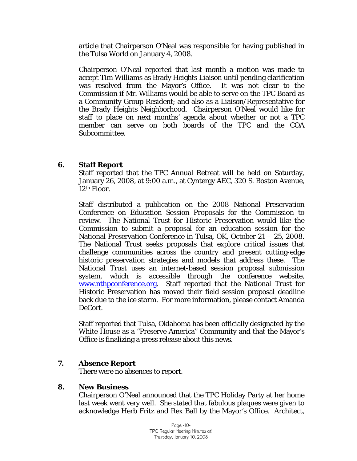article that Chairperson O'Neal was responsible for having published in the Tulsa World on January 4, 2008.

Chairperson O'Neal reported that last month a motion was made to accept Tim Williams as Brady Heights Liaison until pending clarification was resolved from the Mayor's Office. It was not clear to the Commission if Mr. Williams would be able to serve on the TPC Board as a Community Group Resident; and also as a Liaison/Representative for the Brady Heights Neighborhood. Chairperson O'Neal would like for staff to place on next months' agenda about whether or not a TPC member can serve on both boards of the TPC and the COA Subcommittee.

#### **6. Staff Report**

Staff reported that the TPC Annual Retreat will be held on Saturday, January 26, 2008, at 9:00 a.m., at Cyntergy AEC, 320 S. Boston Avenue, 12th Floor.

Staff distributed a publication on the 2008 National Preservation Conference on Education Session Proposals for the Commission to review. The National Trust for Historic Preservation would like the Commission to submit a proposal for an education session for the National Preservation Conference in Tulsa, OK, October 21 – 25, 2008. The National Trust seeks proposals that explore critical issues that challenge communities across the country and present cutting-edge historic preservation strategies and models that address these. The National Trust uses an internet-based session proposal submission system, which is accessible through the conference website, [www.nthpconference.org](http://www.nthpconference.org/). Staff reported that the National Trust for Historic Preservation has moved their field session proposal deadline back due to the ice storm. For more information, please contact Amanda DeCort.

Staff reported that Tulsa, Oklahoma has been officially designated by the White House as a "Preserve America" Community and that the Mayor's Office is finalizing a press release about this news.

# **7. Absence Report**

There were no absences to report.

#### **8. New Business**

Chairperson O'Neal announced that the TPC Holiday Party at her home last week went very well. She stated that fabulous plaques were given to acknowledge Herb Fritz and Rex Ball by the Mayor's Office. Architect,